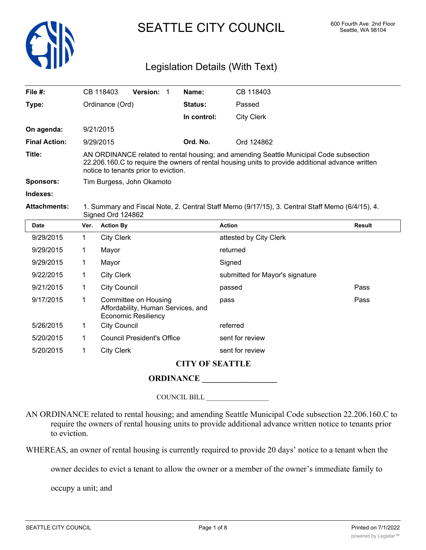

# SEATTLE CITY COUNCIL 600 Fourth Ave. 2nd Floor

# Legislation Details (With Text)

| File #:              | CB 118403                                                                                       | <b>Version:</b>                      | Name:          | CB 118403                                                                                                                                                                                  |  |  |
|----------------------|-------------------------------------------------------------------------------------------------|--------------------------------------|----------------|--------------------------------------------------------------------------------------------------------------------------------------------------------------------------------------------|--|--|
| Type:                | Ordinance (Ord)                                                                                 |                                      | <b>Status:</b> | Passed                                                                                                                                                                                     |  |  |
|                      |                                                                                                 |                                      | In control:    | <b>City Clerk</b>                                                                                                                                                                          |  |  |
| On agenda:           | 9/21/2015                                                                                       |                                      |                |                                                                                                                                                                                            |  |  |
| <b>Final Action:</b> | 9/29/2015                                                                                       |                                      | Ord. No.       | Ord 124862                                                                                                                                                                                 |  |  |
| Title:               |                                                                                                 | notice to tenants prior to eviction. |                | AN ORDINANCE related to rental housing; and amending Seattle Municipal Code subsection<br>22.206.160.C to require the owners of rental housing units to provide additional advance written |  |  |
| <b>Sponsors:</b>     | Tim Burgess, John Okamoto                                                                       |                                      |                |                                                                                                                                                                                            |  |  |
| Indexes:             |                                                                                                 |                                      |                |                                                                                                                                                                                            |  |  |
| <b>Attachments:</b>  | 1. Summary and Fiscal Note, 2. Central Staff Memo (9/17/15), 3. Central Staff Memo (6/4/15), 4. |                                      |                |                                                                                                                                                                                            |  |  |

Signed Ord 124862

| <b>Date</b> | Ver. | <b>Action By</b>                                                                         | <b>Action</b>                   | <b>Result</b> |  |  |  |
|-------------|------|------------------------------------------------------------------------------------------|---------------------------------|---------------|--|--|--|
| 9/29/2015   | 1    | <b>City Clerk</b>                                                                        | attested by City Clerk          |               |  |  |  |
| 9/29/2015   | 1    | Mayor                                                                                    | returned                        |               |  |  |  |
| 9/29/2015   | 1    | Mayor                                                                                    | Signed                          |               |  |  |  |
| 9/22/2015   |      | <b>City Clerk</b>                                                                        | submitted for Mayor's signature |               |  |  |  |
| 9/21/2015   | 1    | <b>City Council</b>                                                                      | passed                          | Pass          |  |  |  |
| 9/17/2015   | 1    | Committee on Housing<br>Affordability, Human Services, and<br><b>Economic Resiliency</b> | pass                            | Pass          |  |  |  |
| 5/26/2015   | 1    | <b>City Council</b>                                                                      | referred                        |               |  |  |  |
| 5/20/2015   | 1    | <b>Council President's Office</b>                                                        | sent for review                 |               |  |  |  |
| 5/20/2015   |      | <b>City Clerk</b>                                                                        | sent for review                 |               |  |  |  |
|             |      |                                                                                          |                                 |               |  |  |  |

#### **CITY OF SEATTLE**

# **ORDINANCE \_\_\_\_\_\_\_\_\_\_\_\_\_\_\_\_\_\_**

COUNCIL BILL \_\_\_\_\_\_\_\_\_\_\_\_\_\_\_\_\_\_

AN ORDINANCE related to rental housing; and amending Seattle Municipal Code subsection 22.206.160.C to require the owners of rental housing units to provide additional advance written notice to tenants prior to eviction.

WHEREAS, an owner of rental housing is currently required to provide 20 days' notice to a tenant when the

owner decides to evict a tenant to allow the owner or a member of the owner's immediate family to

occupy a unit; and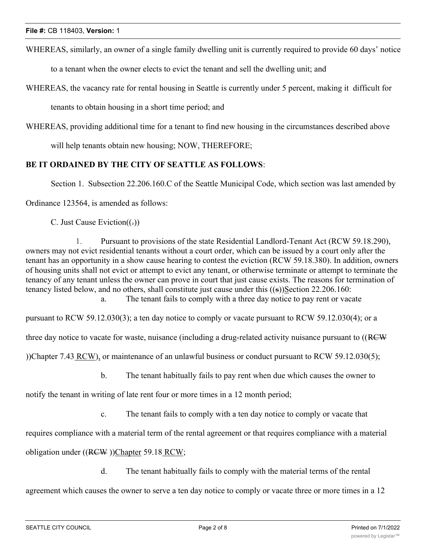WHEREAS, similarly, an owner of a single family dwelling unit is currently required to provide 60 days' notice

to a tenant when the owner elects to evict the tenant and sell the dwelling unit; and

WHEREAS, the vacancy rate for rental housing in Seattle is currently under 5 percent, making it difficult for

tenants to obtain housing in a short time period; and

WHEREAS, providing additional time for a tenant to find new housing in the circumstances described above

will help tenants obtain new housing; NOW, THEREFORE;

## **BE IT ORDAINED BY THE CITY OF SEATTLE AS FOLLOWS**:

Section 1. Subsection 22.206.160.C of the Seattle Municipal Code, which section was last amended by

Ordinance 123564, is amended as follows:

C. Just Cause Eviction $((.)$ 

1. Pursuant to provisions of the state Residential Landlord-Tenant Act (RCW 59.18.290), owners may not evict residential tenants without a court order, which can be issued by a court only after the tenant has an opportunity in a show cause hearing to contest the eviction (RCW 59.18.380). In addition, owners of housing units shall not evict or attempt to evict any tenant, or otherwise terminate or attempt to terminate the tenancy of any tenant unless the owner can prove in court that just cause exists. The reasons for termination of tenancy listed below, and no others, shall constitute just cause under this ((s))Section 22.206.160: a. The tenant fails to comply with a three day notice to pay rent or vacate

pursuant to RCW 59.12.030(3); a ten day notice to comply or vacate pursuant to RCW 59.12.030(4); or a

three day notice to vacate for waste, nuisance (including a drug-related activity nuisance pursuant to ((RCW

))Chapter 7.43 RCW), or maintenance of an unlawful business or conduct pursuant to RCW 59.12.030(5);

b. The tenant habitually fails to pay rent when due which causes the owner to

notify the tenant in writing of late rent four or more times in a 12 month period;

c. The tenant fails to comply with a ten day notice to comply or vacate that

requires compliance with a material term of the rental agreement or that requires compliance with a material

obligation under ((RCW))Chapter 59.18 RCW;

d. The tenant habitually fails to comply with the material terms of the rental

agreement which causes the owner to serve a ten day notice to comply or vacate three or more times in a 12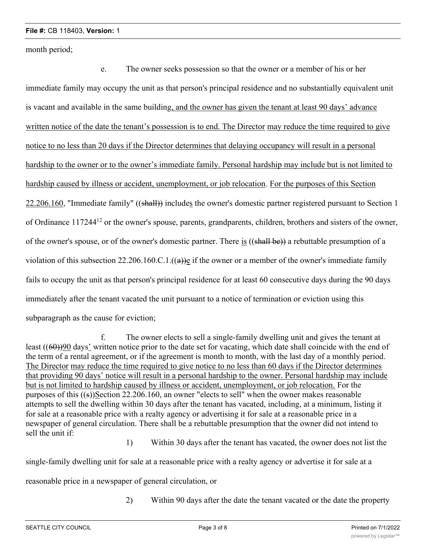month period;

e. The owner seeks possession so that the owner or a member of his or her immediate family may occupy the unit as that person's principal residence and no substantially equivalent unit is vacant and available in the same building, and the owner has given the tenant at least 90 days' advance written notice of the date the tenant's possession is to end. The Director may reduce the time required to give notice to no less than 20 days if the Director determines that delaying occupancy will result in a personal hardship to the owner or to the owner's immediate family. Personal hardship may include but is not limited to hardship caused by illness or accident, unemployment, or job relocation. For the purposes of this Section 22.206.160, "Immediate family" ((shall)) includes the owner's domestic partner registered pursuant to Section 1 of Ordinance 11724412 or the owner's spouse, parents, grandparents, children, brothers and sisters of the owner, of the owner's spouse, or of the owner's domestic partner. There is ((shall be)) a rebuttable presumption of a violation of this subsection 22.206.160.C.1. $((a))$ e if the owner or a member of the owner's immediate family fails to occupy the unit as that person's principal residence for at least 60 consecutive days during the 90 days immediately after the tenant vacated the unit pursuant to a notice of termination or eviction using this subparagraph as the cause for eviction;

f. The owner elects to sell a single-family dwelling unit and gives the tenant at least ((60))90 days' written notice prior to the date set for vacating, which date shall coincide with the end of the term of a rental agreement, or if the agreement is month to month, with the last day of a monthly period. The Director may reduce the time required to give notice to no less than 60 days if the Director determines that providing 90 days' notice will result in a personal hardship to the owner. Personal hardship may include but is not limited to hardship caused by illness or accident, unemployment, or job relocation. For the purposes of this ((s))Section 22.206.160, an owner "elects to sell" when the owner makes reasonable attempts to sell the dwelling within 30 days after the tenant has vacated, including, at a minimum, listing it for sale at a reasonable price with a realty agency or advertising it for sale at a reasonable price in a newspaper of general circulation. There shall be a rebuttable presumption that the owner did not intend to sell the unit if:

1) Within 30 days after the tenant has vacated, the owner does not list the

single-family dwelling unit for sale at a reasonable price with a realty agency or advertise it for sale at a

reasonable price in a newspaper of general circulation, or

2) Within 90 days after the date the tenant vacated or the date the property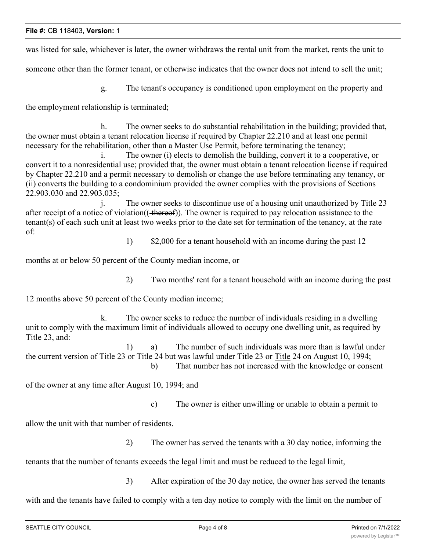was listed for sale, whichever is later, the owner withdraws the rental unit from the market, rents the unit to

someone other than the former tenant, or otherwise indicates that the owner does not intend to sell the unit;

g. The tenant's occupancy is conditioned upon employment on the property and

the employment relationship is terminated;

h. The owner seeks to do substantial rehabilitation in the building; provided that, the owner must obtain a tenant relocation license if required by Chapter 22.210 and at least one permit necessary for the rehabilitation, other than a Master Use Permit, before terminating the tenancy;

i. The owner (i) elects to demolish the building, convert it to a cooperative, or convert it to a nonresidential use; provided that, the owner must obtain a tenant relocation license if required by Chapter 22.210 and a permit necessary to demolish or change the use before terminating any tenancy, or (ii) converts the building to a condominium provided the owner complies with the provisions of Sections 22.903.030 and 22.903.035;

j. The owner seeks to discontinue use of a housing unit unauthorized by Title 23 after receipt of a notice of violation((+thereof)). The owner is required to pay relocation assistance to the tenant(s) of each such unit at least two weeks prior to the date set for termination of the tenancy, at the rate of:

1) \$2,000 for a tenant household with an income during the past 12

months at or below 50 percent of the County median income, or

2) Two months' rent for a tenant household with an income during the past

12 months above 50 percent of the County median income;

k. The owner seeks to reduce the number of individuals residing in a dwelling unit to comply with the maximum limit of individuals allowed to occupy one dwelling unit, as required by Title 23, and:

1) a) The number of such individuals was more than is lawful under the current version of Title 23 or Title 24 but was lawful under Title 23 or Title 24 on August 10, 1994; b) That number has not increased with the knowledge or consent

of the owner at any time after August 10, 1994; and

c) The owner is either unwilling or unable to obtain a permit to

allow the unit with that number of residents.

2) The owner has served the tenants with a 30 day notice, informing the

tenants that the number of tenants exceeds the legal limit and must be reduced to the legal limit,

3) After expiration of the 30 day notice, the owner has served the tenants

with and the tenants have failed to comply with a ten day notice to comply with the limit on the number of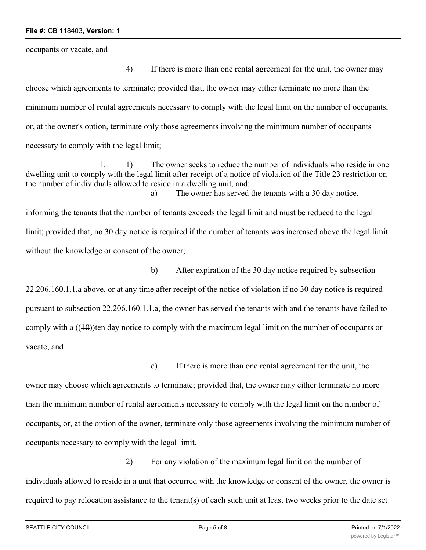occupants or vacate, and

4) If there is more than one rental agreement for the unit, the owner may choose which agreements to terminate; provided that, the owner may either terminate no more than the minimum number of rental agreements necessary to comply with the legal limit on the number of occupants, or, at the owner's option, terminate only those agreements involving the minimum number of occupants necessary to comply with the legal limit;

l. 1) The owner seeks to reduce the number of individuals who reside in one dwelling unit to comply with the legal limit after receipt of a notice of violation of the Title 23 restriction on the number of individuals allowed to reside in a dwelling unit, and: a) The owner has served the tenants with a 30 day notice,

informing the tenants that the number of tenants exceeds the legal limit and must be reduced to the legal limit; provided that, no 30 day notice is required if the number of tenants was increased above the legal limit without the knowledge or consent of the owner;

22.206.160.1.1.a above, or at any time after receipt of the notice of violation if no 30 day notice is required pursuant to subsection 22.206.160.1.1.a, the owner has served the tenants with and the tenants have failed to comply with a  $((10))$ ten day notice to comply with the maximum legal limit on the number of occupants or vacate; and

b) After expiration of the 30 day notice required by subsection

c) If there is more than one rental agreement for the unit, the

owner may choose which agreements to terminate; provided that, the owner may either terminate no more than the minimum number of rental agreements necessary to comply with the legal limit on the number of occupants, or, at the option of the owner, terminate only those agreements involving the minimum number of occupants necessary to comply with the legal limit.

2) For any violation of the maximum legal limit on the number of individuals allowed to reside in a unit that occurred with the knowledge or consent of the owner, the owner is required to pay relocation assistance to the tenant(s) of each such unit at least two weeks prior to the date set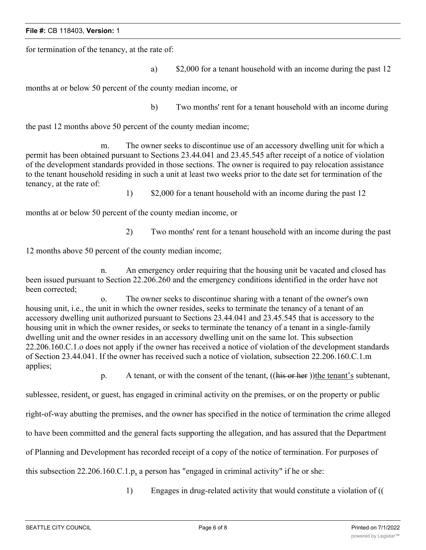### **File #:** CB 118403, **Version:** 1

for termination of the tenancy, at the rate of:

a) \$2,000 for a tenant household with an income during the past 12

months at or below 50 percent of the county median income, or

b) Two months' rent for a tenant household with an income during

the past 12 months above 50 percent of the county median income;

m. The owner seeks to discontinue use of an accessory dwelling unit for which a permit has been obtained pursuant to Sections 23.44.041 and 23.45.545 after receipt of a notice of violation of the development standards provided in those sections. The owner is required to pay relocation assistance to the tenant household residing in such a unit at least two weeks prior to the date set for termination of the tenancy, at the rate of:

1) \$2,000 for a tenant household with an income during the past 12

months at or below 50 percent of the county median income, or

2) Two months' rent for a tenant household with an income during the past

12 months above 50 percent of the county median income;

n. An emergency order requiring that the housing unit be vacated and closed has been issued pursuant to Section 22.206.260 and the emergency conditions identified in the order have not been corrected;

o. The owner seeks to discontinue sharing with a tenant of the owner's own housing unit, i.e., the unit in which the owner resides, seeks to terminate the tenancy of a tenant of an accessory dwelling unit authorized pursuant to Sections 23.44.041 and 23.45.545 that is accessory to the housing unit in which the owner resides, or seeks to terminate the tenancy of a tenant in a single-family dwelling unit and the owner resides in an accessory dwelling unit on the same lot. This subsection 22.206.160.C.1.o does not apply if the owner has received a notice of violation of the development standards of Section 23.44.041. If the owner has received such a notice of violation, subsection 22.206.160.C.1.m applies;

p. A tenant, or with the consent of the tenant, ((his or her ))the tenant's subtenant,

sublessee, resident, or guest, has engaged in criminal activity on the premises, or on the property or public

right-of-way abutting the premises, and the owner has specified in the notice of termination the crime alleged

to have been committed and the general facts supporting the allegation, and has assured that the Department

of Planning and Development has recorded receipt of a copy of the notice of termination. For purposes of

this subsection 22.206.160.C.1.p, a person has "engaged in criminal activity" if he or she:

1) Engages in drug-related activity that would constitute a violation of ((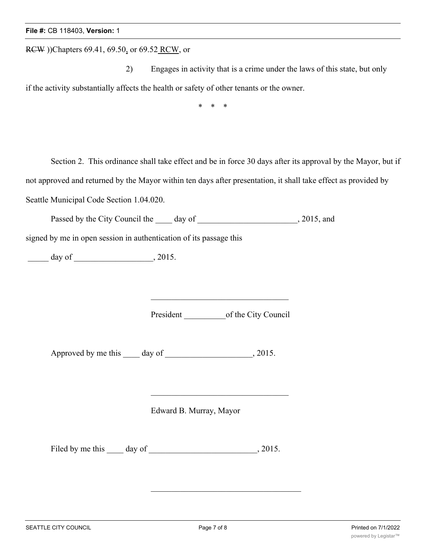RCW ))Chapters 69.41, 69.50, or 69.52 RCW, or

2) Engages in activity that is a crime under the laws of this state, but only if the activity substantially affects the health or safety of other tenants or the owner.

\* \* \*

Section 2. This ordinance shall take effect and be in force 30 days after its approval by the Mayor, but if not approved and returned by the Mayor within ten days after presentation, it shall take effect as provided by Seattle Municipal Code Section 1.04.020.

Passed by the City Council the \_\_\_\_\_ day of \_\_\_\_\_\_\_\_\_\_\_\_\_\_\_\_\_\_\_\_\_, 2015, and

signed by me in open session in authentication of its passage this

\_\_\_\_\_ day of \_\_\_\_\_\_\_\_\_\_\_\_\_\_\_\_\_\_\_, 2015.

President \_\_\_\_\_\_\_\_\_\_of the City Council

Approved by me this \_\_\_\_ day of \_\_\_\_\_\_\_\_\_\_\_\_\_\_\_\_\_\_, 2015.

Edward B. Murray, Mayor

Filed by me this \_\_\_\_\_ day of \_\_\_\_\_\_\_\_\_\_\_\_\_\_\_\_\_\_\_\_\_\_\_\_\_\_\_, 2015.